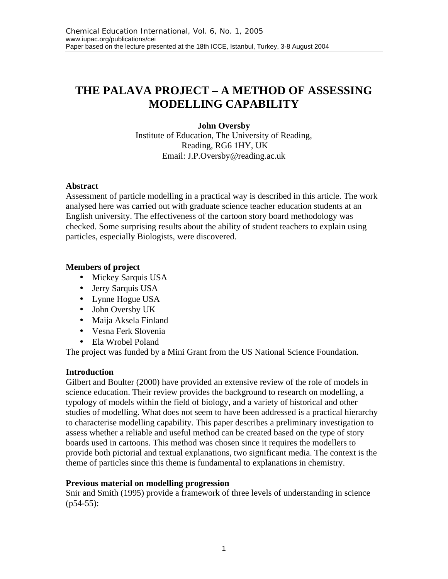# **THE PALAVA PROJECT – A METHOD OF ASSESSING MODELLING CAPABILITY**

#### **John Oversby**

Institute of Education, The University of Reading, Reading, RG6 1HY, UK Email: J.P.Oversby@reading.ac.uk

#### **Abstract**

Assessment of particle modelling in a practical way is described in this article. The work analysed here was carried out with graduate science teacher education students at an English university. The effectiveness of the cartoon story board methodology was checked. Some surprising results about the ability of student teachers to explain using particles, especially Biologists, were discovered.

#### **Members of project**

- Mickey Sarquis USA
- Jerry Sarquis USA
- Lynne Hogue USA
- John Oversby UK
- Maija Aksela Finland
- Vesna Ferk Slovenia
- Ela Wrobel Poland

The project was funded by a Mini Grant from the US National Science Foundation.

## **Introduction**

Gilbert and Boulter (2000) have provided an extensive review of the role of models in science education. Their review provides the background to research on modelling, a typology of models within the field of biology, and a variety of historical and other studies of modelling. What does not seem to have been addressed is a practical hierarchy to characterise modelling capability. This paper describes a preliminary investigation to assess whether a reliable and useful method can be created based on the type of story boards used in cartoons. This method was chosen since it requires the modellers to provide both pictorial and textual explanations, two significant media. The context is the theme of particles since this theme is fundamental to explanations in chemistry.

## **Previous material on modelling progression**

Snir and Smith (1995) provide a framework of three levels of understanding in science (p54-55):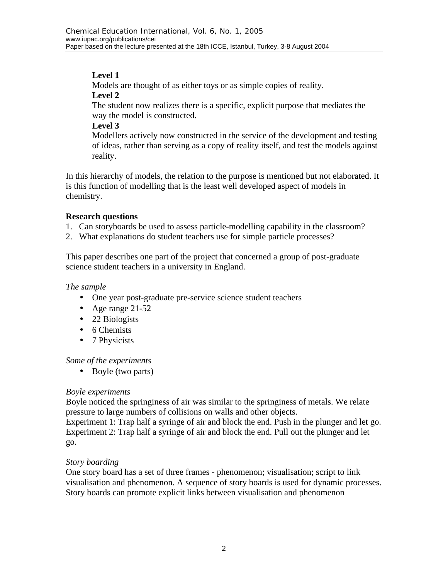#### **Level 1**

Models are thought of as either toys or as simple copies of reality.

## **Level 2**

The student now realizes there is a specific, explicit purpose that mediates the way the model is constructed.

#### **Level 3**

Modellers actively now constructed in the service of the development and testing of ideas, rather than serving as a copy of reality itself, and test the models against reality.

In this hierarchy of models, the relation to the purpose is mentioned but not elaborated. It is this function of modelling that is the least well developed aspect of models in chemistry.

## **Research questions**

- 1. Can storyboards be used to assess particle-modelling capability in the classroom?
- 2. What explanations do student teachers use for simple particle processes?

This paper describes one part of the project that concerned a group of post-graduate science student teachers in a university in England.

## *The sample*

- One year post-graduate pre-service science student teachers
- Age range 21-52
- 22 Biologists
- 6 Chemists
- 7 Physicists

## *Some of the experiments*

• Boyle (two parts)

# *Boyle experiments*

Boyle noticed the springiness of air was similar to the springiness of metals. We relate pressure to large numbers of collisions on walls and other objects.

Experiment 1: Trap half a syringe of air and block the end. Push in the plunger and let go. Experiment 2: Trap half a syringe of air and block the end. Pull out the plunger and let go.

## *Story boarding*

One story board has a set of three frames - phenomenon; visualisation; script to link visualisation and phenomenon. A sequence of story boards is used for dynamic processes. Story boards can promote explicit links between visualisation and phenomenon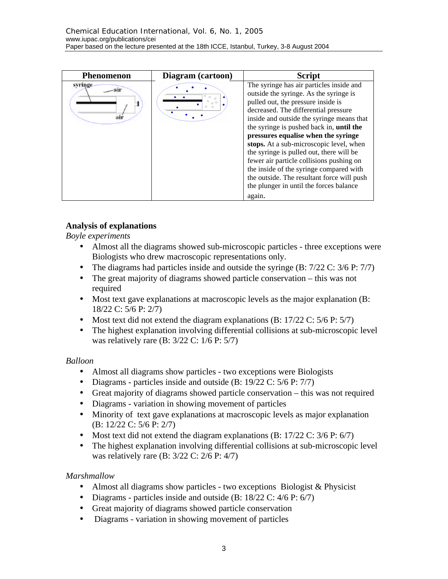| <b>Phenomenon</b> | Diagram (cartoon)                                   | <b>Script</b>                                                                                                                                                                                                                                                                                                                                                                                                                                                                                                                                                                     |
|-------------------|-----------------------------------------------------|-----------------------------------------------------------------------------------------------------------------------------------------------------------------------------------------------------------------------------------------------------------------------------------------------------------------------------------------------------------------------------------------------------------------------------------------------------------------------------------------------------------------------------------------------------------------------------------|
| svringe<br>air    | $\circ$<br>$\circ$<br>$_{\circ}$ $\circ$<br>$\circ$ | The syringe has air particles inside and<br>outside the syringe. As the syringe is<br>pulled out, the pressure inside is<br>decreased. The differential pressure<br>inside and outside the syringe means that<br>the syringe is pushed back in, until the<br>pressures equalise when the syringe<br>stops. At a sub-microscopic level, when<br>the syringe is pulled out, there will be<br>fewer air particle collisions pushing on<br>the inside of the syringe compared with<br>the outside. The resultant force will push<br>the plunger in until the forces balance<br>again. |

# **Analysis of explanations**

*Boyle experiments*

- Almost all the diagrams showed sub-microscopic particles three exceptions were Biologists who drew macroscopic representations only.
- The diagrams had particles inside and outside the syringe  $(B: 7/22 \text{ C}: 3/6 \text{ P}: 7/7)$
- The great majority of diagrams showed particle conservation this was not required
- Most text gave explanations at macroscopic levels as the major explanation (B: 18/22 C: 5/6 P: 2/7)
- Most text did not extend the diagram explanations  $(B: 17/22 \text{ C}: 5/6 \text{ P}: 5/7)$
- The highest explanation involving differential collisions at sub-microscopic level was relatively rare (B: 3/22 C: 1/6 P: 5/7)

## *Balloon*

- Almost all diagrams show particles two exceptions were Biologists
- Diagrams particles inside and outside (B: 19/22 C: 5/6 P: 7/7)
- Great majority of diagrams showed particle conservation this was not required
- Diagrams variation in showing movement of particles
- Minority of text gave explanations at macroscopic levels as major explanation (B: 12/22 C: 5/6 P: 2/7)
- Most text did not extend the diagram explanations  $(B: 17/22 \text{ C}: 3/6 \text{ P}: 6/7)$
- The highest explanation involving differential collisions at sub-microscopic level was relatively rare (B: 3/22 C: 2/6 P: 4/7)

## *Marshmallow*

- Almost all diagrams show particles two exceptions Biologist & Physicist
- Diagrams particles inside and outside (B: 18/22 C: 4/6 P: 6/7)
- Great majority of diagrams showed particle conservation
- Diagrams variation in showing movement of particles